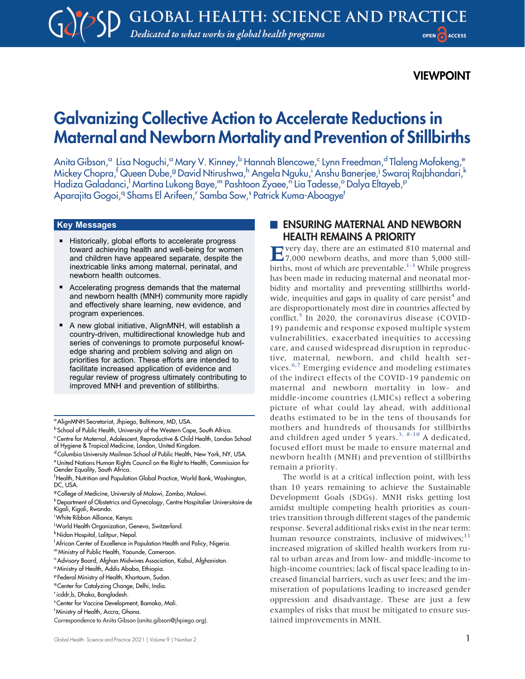## VIEWPOINT

# Galvanizing Collective Action to Accelerate Reductions in Maternal and Newborn Mortality and Prevention of Stillbirths

Anita Gibson,<sup>a</sup> Lisa Noguchi,<sup>a</sup> Mary V. Kinney,<sup>b</sup> Hannah Blencowe,<sup>c</sup> Lynn Freedman,<sup>d</sup> Tlaleng Mofokeng,<sup>e</sup> Mickey Chopra,<sup>f</sup> Queen Dube,<sup>g</sup> David Ntirushwa,<sup>h</sup> Angela Nguku,<sup>i</sup> Anshu Banerjee,<sup>i</sup> Swaraj Rajbhandari,<sup>k</sup> Hadiza Galadanci,<sup>I</sup> Martina Lukong Baye,''' Pashtoon Žyaee,''<sup>'</sup> Lia Tadesse,° Dalya Eltayeb,<sup>p</sup> Aparajita Gogoi,<sup>q</sup> Shams El Arifeen,' Samba Sow,' Patrick Kuma-Aboagye'

#### Key Messages

- Historically, global efforts to accelerate progress toward achieving health and well-being for women and children have appeared separate, despite the inextricable links among maternal, perinatal, and newborn health outcomes.
- Accelerating progress demands that the maternal and newborn health (MNH) community more rapidly and effectively share learning, new evidence, and program experiences.
- A new global initiative, AlignMNH, will establish a country-driven, multidirectional knowledge hub and series of convenings to promote purposeful knowledge sharing and problem solving and align on priorities for action. These efforts are intended to facilitate increased application of evidence and regular review of progress ultimately contributing to improved MNH and prevention of stillbirths.

<sup>a</sup> AlignMNH Secretariat, Jhpiego, Baltimore, MD, USA.

b School of Public Health, University of the Western Cape, South Africa.

- mMinistry of Public Health, Yaounde, Cameroon.
- <sup>n</sup> Advisory Board, Afghan Midwives Association, Kabul, Afghanistan.

<sup>q</sup> Center for Catalyzing Change, Delhi, India.

## **ENSURING MATERNAL AND NEWBORN** HEALTH REMAINS A PRIORITY

Every day, there are an estimated 810 maternal and 7,000 newborn deaths, and more than 5,000 stillbirths, most of which are preventable. $1-3$  $1-3$  While progress has been made in reducing maternal and neonatal morbidity and mortality and preventing stillbirths world-wide, inequities and gaps in quality of care persist<sup>[4](#page-4-0)</sup> and are disproportionately most dire in countries affected by conflict.<sup>[5](#page-4-1)</sup> In 2020, the coronavirus disease (COVID-19) pandemic and response exposed multiple system vulnerabilities, exacerbated inequities to accessing care, and caused widespread disruption in reproductive, maternal, newborn, and child health ser-vices.<sup>[6,](#page-4-2)[7](#page-4-3)</sup> Emerging evidence and modeling estimates of the indirect effects of the COVID-19 pandemic on maternal and newborn mortality in low- and middle-income countries (LMICs) reflect a sobering picture of what could lay ahead, with additional deaths estimated to be in the tens of thousands for mothers and hundreds of thousands for stillbirths and children aged under 5 years.<sup>[3](#page-3-1), [8](#page-4-4)[-10](#page-4-5)</sup> A dedicated, focused effort must be made to ensure maternal and newborn health (MNH) and prevention of stillbirths remain a priority.

The world is at a critical inflection point, with less than 10 years remaining to achieve the Sustainable Development Goals (SDGs). MNH risks getting lost amidst multiple competing health priorities as countries transition through different stages of the pandemic response. Several additional risks exist in the near term: human resource constraints, inclusive of midwives; $<sup>11</sup>$  $<sup>11</sup>$  $<sup>11</sup>$ </sup> increased migration of skilled health workers from rural to urban areas and from low- and middle-income to high-income countries; lack of fiscal space leading to increased financial barriers, such as user fees; and the immiseration of populations leading to increased gender oppression and disadvantage. These are just a few examples of risks that must be mitigated to ensure sustained improvements in MNH.

<sup>&</sup>lt;sup>c</sup> Centre for Maternal, Adolescent, Reproductive & Child Health, London School of Hygiene & Tropical Medicine, London, United Kingdom.

<sup>&</sup>lt;sup>d</sup> Columbia University Mailman School of Public Health, New York, NY, USA. eUnited Nations Human Rights Council on the Right to Health, Commission for Gender Equality, South Africa.

<sup>&</sup>lt;sup>f</sup>Health, Nutrition and Population Global Practice, World Bank, Washington, DC, USA.

<sup>&</sup>lt;sup>g</sup> College of Medicine, University of Malawi, Zomba, Malawi.

h Department of Obstetrics and Gynecology, Centre Hospitalier Universitaire de Kigali, Kigali, Rwanda.

i White Ribbon Alliance, Kenya.

<sup>&</sup>lt;sup>i</sup> World Health Organization, Geneva, Switzerland.

k Nidan Hospital, Lalitpur, Nepal.

African Center of Excellence in Population Health and Policy, Nigeria.

<sup>&</sup>lt;sup>o</sup> Ministry of Health, Addis Ababa, Ethiopia.

<sup>p</sup> Federal Ministry of Health, Khartoum, Sudan.

r icddr,b, Dhaka, Bangladesh.

s Center for Vaccine Development, Bamako, Mali.

t Ministry of Health, Accra, Ghana.

Correspondence to Anita Gibson [\(anita.gibson@jhpiego.org\)](mailto:anita.gibson@jhpiego.org).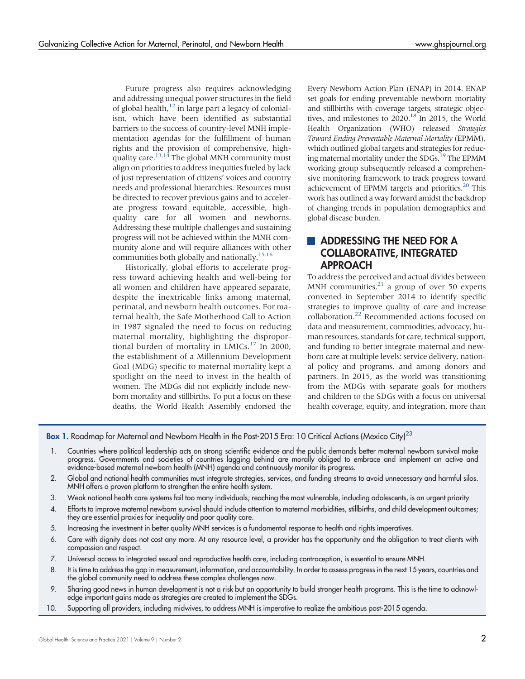Future progress also requires acknowledging and addressing unequal power structures in the field of global health, $12$  in large part a legacy of colonialism, which have been identified as substantial barriers to the success of country-level MNH implementation agendas for the fulfillment of human rights and the provision of comprehensive, high-quality care.<sup>13[,14](#page-4-9)</sup> The global MNH community must align on priorities to address inequities fueled by lack of just representation of citizens' voices and country needs and professional hierarchies. Resources must be directed to recover previous gains and to accelerate progress toward equitable, accessible, highquality care for all women and newborns. Addressing these multiple challenges and sustaining progress will not be achieved within the MNH community alone and will require alliances with other communities both globally and nationally[.15](#page-4-10)[,16](#page-4-11)

Historically, global efforts to accelerate progress toward achieving health and well-being for all women and children have appeared separate, despite the inextricable links among maternal, perinatal, and newborn health outcomes. For maternal health, the Safe Motherhood Call to Action in 1987 signaled the need to focus on reducing maternal mortality, highlighting the disproportional burden of mortality in LMICs.<sup>17</sup> In 2000, the establishment of a Millennium Development Goal (MDG) specific to maternal mortality kept a spotlight on the need to invest in the health of women. The MDGs did not explicitly include newborn mortality and stillbirths. To put a focus on these deaths, the World Health Assembly endorsed the Every Newborn Action Plan (ENAP) in 2014. ENAP set goals for ending preventable newborn mortality and stillbirths with coverage targets, strategic objectives, and milestones to  $2020$ .<sup>18</sup> In 2015, the World Health Organization (WHO) released Strategies Toward Ending Preventable Maternal Mortality (EPMM), which outlined global targets and strategies for reducing maternal mortality under the SDGs.<sup>19</sup> The EPMM working group subsequently released a comprehensive monitoring framework to track progress toward achievement of EPMM targets and priorities.<sup>20</sup> This work has outlined a way forward amidst the backdrop of changing trends in population demographics and global disease burden.

## **ADDRESSING THE NEED FOR A** COLLABORATIVE, INTEGRATED APPROACH

To address the perceived and actual divides between MNH communities, $^{21}$  a group of over 50 experts convened in September 2014 to identify specific strategies to improve quality of care and increase collaboration[.22](#page-4-17) Recommended actions focused on data and measurement, commodities, advocacy, human resources, standards for care, technical support, and funding to better integrate maternal and newborn care at multiple levels: service delivery, national policy and programs, and among donors and partners. In 2015, as the world was transitioning from the MDGs with separate goals for mothers and children to the SDGs with a focus on universal health coverage, equity, and integration, more than

<span id="page-1-0"></span>Box 1. Roadmap for Maternal and Newborn Health in the Post-2015 Era: 10 Critical Actions (Mexico City)<sup>23</sup>

- 1. Countries where political leadership acts on strong scientific evidence and the public demands better maternal newborn survival make progress. Governments and societies of countries lagging behind are morally obliged to embrace and implement an active and evidence-based maternal newborn health (MNH) agenda and continuously monitor its progress.
- 2. Global and national health communities must integrate strategies, services, and funding streams to avoid unnecessary and harmful silos. MNH offers a proven platform to strengthen the entire health system.
- 3. Weak national health care systems fail too many individuals; reaching the most vulnerable, including adolescents, is an urgent priority.
- 4. Efforts to improve maternal newborn survival should include attention to maternal morbidities, stillbirths, and child development outcomes; they are essential proxies for inequality and poor quality care.
- 5. Increasing the investment in better quality MNH services is a fundamental response to health and rights imperatives.
- 6. Care with dignity does not cost any more. At any resource level, a provider has the opportunity and the obligation to treat clients with compassion and respect.
- 7. Universal access to integrated sexual and reproductive health care, including contraception, is essential to ensure MNH.
- 8. It is time to address the gap in measurement, information, and accountability. In order to assess progress in the next 15 years, countries and the global community need to address these complex challenges now.
- 9. Sharing good news in human development is not a risk but an opportunity to build stronger health programs. This is the time to acknowledge important gains made as strategies are created to implement the SDGs.
- 10. Supporting all providers, including midwives, to address MNH is imperative to realize the ambitious post-2015 agenda.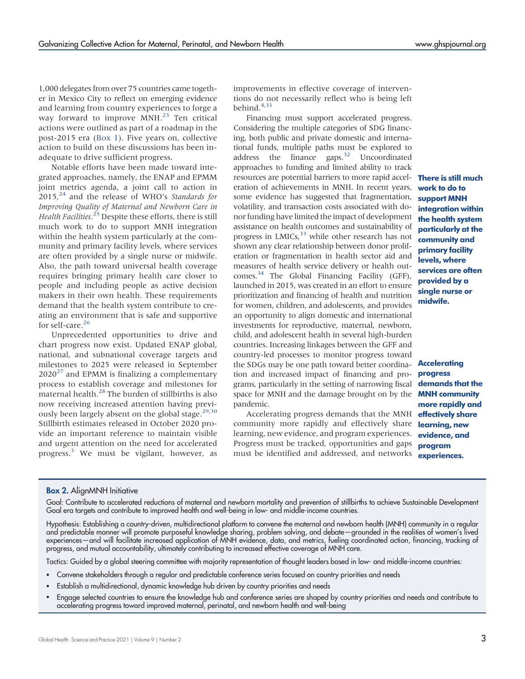1,000 delegates from over 75 countries came together in Mexico City to reflect on emerging evidence and learning from country experiences to forge a way forward to improve MNH.<sup>[23](#page-4-18)</sup> Ten critical actions were outlined as part of a roadmap in the post-2015 era [\(Box 1](#page-1-0)). Five years on, collective action to build on these discussions has been inadequate to drive sufficient progress.

Notable efforts have been made toward integrated approaches, namely, the ENAP and EPMM joint metrics agenda, a joint call to action in  $2015<sup>24</sup>$  $2015<sup>24</sup>$  $2015<sup>24</sup>$  and the release of WHO's Standards for Improving Quality of Maternal and Newborn Care in Health Facilities.<sup>[25](#page-4-20)</sup> Despite these efforts, there is still much work to do to support MNH integration within the health system particularly at the community and primary facility levels, where services are often provided by a single nurse or midwife. Also, the path toward universal health coverage requires bringing primary health care closer to people and including people as active decision makers in their own health. These requirements demand that the health system contribute to creating an environment that is safe and supportive for self-care.<sup>26</sup>

Unprecedented opportunities to drive and chart progress now exist. Updated ENAP global, national, and subnational coverage targets and milestones to 2025 were released in September  $2020^{27}$  $2020^{27}$  $2020^{27}$  and EPMM is finalizing a complementary process to establish coverage and milestones for maternal health.<sup>[28](#page-4-23)</sup> The burden of stillbirths is also now receiving increased attention having previ-ously been largely absent on the global stage.<sup>[29,](#page-4-24)[30](#page-4-25)</sup> Stillbirth estimates released in October 2020 provide an important reference to maintain visible and urgent attention on the need for accelerated progress.<sup>[3](#page-3-1)</sup> We must be vigilant, however, as

improvements in effective coverage of interventions do not necessarily reflect who is being left behind.[4](#page-4-0)[,31](#page-4-26)

Financing must support accelerated progress. Considering the multiple categories of SDG financing, both public and private domestic and international funds, multiple paths must be explored to address the finance gaps.<sup>[32](#page-4-27)</sup> Uncoordinated approaches to funding and limited ability to track resources are potential barriers to more rapid accel- There is still much eration of achievements in MNH. In recent years, some evidence has suggested that fragmentation, volatility, and transaction costs associated with donor funding have limited the impact of development assistance on health outcomes and sustainability of progress in LMICs,<sup>[33](#page-5-0)</sup> while other research has not shown any clear relationship between donor proliferation or fragmentation in health sector aid and measures of health service delivery or health outcomes[.34](#page-5-1) The Global Financing Facility (GFF), launched in 2015, was created in an effort to ensure prioritization and financing of health and nutrition for women, children, and adolescents, and provides an opportunity to align domestic and international investments for reproductive, maternal, newborn, child, and adolescent health in several high-burden countries. Increasing linkages between the GFF and country-led processes to monitor progress toward the SDGs may be one path toward better coordination and increased impact of financing and programs, particularly in the setting of narrowing fiscal space for MNH and the damage brought on by the **MNH community** pandemic.

Accelerating progress demands that the MNH community more rapidly and effectively share learning, new evidence, and program experiences. Progress must be tracked, opportunities and gaps must be identified and addressed, and networks

work to do to support MNH integration within the health system particularly at the community and primary facility levels, where services are often provided by a single nurse or midwife.

**Accelerating** progress demands that the more rapidly and effectively share learning, new evidence, and program experiences.

#### <span id="page-2-0"></span>**Box 2.** AlignMNH Initiative

Goal: Contribute to accelerated reductions of maternal and newborn mortality and prevention of stillbirths to achieve Sustainable Development Goal era targets and contribute to improved health and well-being in low- and middle-income countries.

Hypothesis: Establishing a country-driven, multidirectional platform to convene the maternal and newborn health (MNH) community in a regular and predictable manner will promote purposeful knowledge sharing, problem solving, and debate—grounded in the realities of women's lived experiences—and will facilitate increased application of MNH evidence, data, and metrics, fueling coordinated action, financing, tracking of progress, and mutual accountability, ultimately contributing to increased effective coverage of MNH care.

Tactics: Guided by a global steering committee with majority representation of thought leaders based in low- and middle-income countries:

- Convene stakeholders through a regular and predictable conference series focused on country priorities and needs
- Establish a multidirectional, dynamic knowledge hub driven by country priorities and needs
- Engage selected countries to ensure the knowledge hub and conference series are shaped by country priorities and needs and contribute to accelerating progress toward improved maternal, perinatal, and newborn health and well-being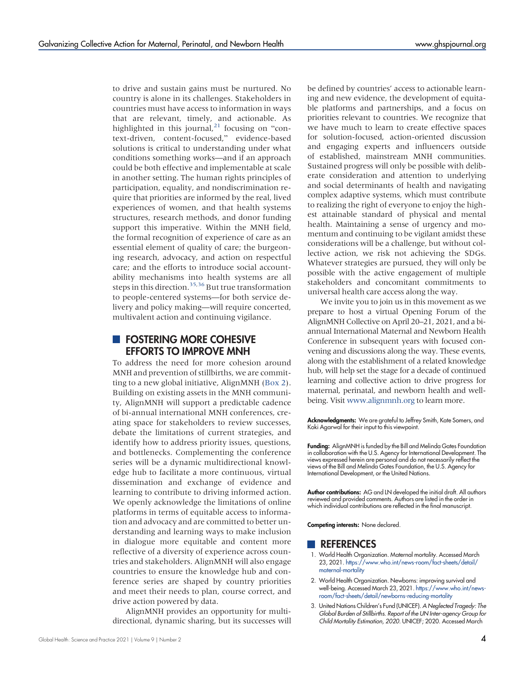to drive and sustain gains must be nurtured. No country is alone in its challenges. Stakeholders in countries must have access to information in ways that are relevant, timely, and actionable. As highlighted in this journal, $^{21}$  $^{21}$  $^{21}$  focusing on "context-driven, content-focused," evidence-based solutions is critical to understanding under what conditions something works—and if an approach could be both effective and implementable at scale in another setting. The human rights principles of participation, equality, and nondiscrimination require that priorities are informed by the real, lived experiences of women, and that health systems structures, research methods, and donor funding support this imperative. Within the MNH field, the formal recognition of experience of care as an essential element of quality of care; the burgeoning research, advocacy, and action on respectful care; and the efforts to introduce social accountability mechanisms into health systems are all steps in this direction.<sup>[35,](#page-5-2)[36](#page-5-3)</sup> But true transformation to people-centered systems—for both service delivery and policy making—will require concerted, multivalent action and continuing vigilance.

### **FOSTERING MORE COHESIVE** EFFORTS TO IMPROVE MNH

To address the need for more cohesion around MNH and prevention of stillbirths, we are committing to a new global initiative, AlignMNH ([Box 2](#page-2-0)). Building on existing assets in the MNH community, AlignMNH will support a predictable cadence of bi-annual international MNH conferences, creating space for stakeholders to review successes, debate the limitations of current strategies, and identify how to address priority issues, questions, and bottlenecks. Complementing the conference series will be a dynamic multidirectional knowledge hub to facilitate a more continuous, virtual dissemination and exchange of evidence and learning to contribute to driving informed action. We openly acknowledge the limitations of online platforms in terms of equitable access to information and advocacy and are committed to better understanding and learning ways to make inclusion in dialogue more equitable and content more reflective of a diversity of experience across countries and stakeholders. AlignMNH will also engage countries to ensure the knowledge hub and conference series are shaped by country priorities and meet their needs to plan, course correct, and drive action powered by data.

AlignMNH provides an opportunity for multidirectional, dynamic sharing, but its successes will

be defined by countries' access to actionable learning and new evidence, the development of equitable platforms and partnerships, and a focus on priorities relevant to countries. We recognize that we have much to learn to create effective spaces for solution-focused, action-oriented discussion and engaging experts and influencers outside of established, mainstream MNH communities. Sustained progress will only be possible with deliberate consideration and attention to underlying and social determinants of health and navigating complex adaptive systems, which must contribute to realizing the right of everyone to enjoy the highest attainable standard of physical and mental health. Maintaining a sense of urgency and momentum and continuing to be vigilant amidst these considerations will be a challenge, but without collective action, we risk not achieving the SDGs. Whatever strategies are pursued, they will only be possible with the active engagement of multiple stakeholders and concomitant commitments to universal health care access along the way.

We invite you to join us in this movement as we prepare to host a virtual Opening Forum of the AlignMNH Collective on April 20–21, 2021, and a biannual International Maternal and Newborn Health Conference in subsequent years with focused convening and discussions along the way. These events, along with the establishment of a related knowledge hub, will help set the stage for a decade of continued learning and collective action to drive progress for maternal, perinatal, and newborn health and wellbeing. Visit [www.alignmnh.org](http://www.alignmnh.org) to learn more.

Acknowledgments: We are grateful to Jeffrey Smith, Kate Somers, and Koki Agarwal for their input to this viewpoint.

Funding: AlignMNH is funded by the Bill and Melinda Gates Foundation in collaboration with the U.S. Agency for International Development. The views expressed herein are personal and do not necessarily reflect the views of the Bill and Melinda Gates Foundation, the U.S. Agency for International Development, or the United Nations.

Author contributions: AG and LN developed the initial draft. All authors reviewed and provided comments. Authors are listed in the order in which individual contributions are reflected in the final manuscript.

Competing interests: None declared.

#### **REFERENCES**

- <span id="page-3-0"></span>1. World Health Organization. Maternal mortality. Accessed March 23, 2021. [https://www.who.int/news-room/fact-sheets/detail/](https://www.who.int/news-room/fact-sheets/detail/maternal-mortality) [maternal-mortality](https://www.who.int/news-room/fact-sheets/detail/maternal-mortality)
- 2. World Health Organization. Newborns: improving survival and well-being. Accessed March 23, 2021. [https://www.who.int/news](https://www.who.int/news-room/fact-sheets/detail/newborns-reducing-mortality)[room/fact-sheets/detail/newborns-reducing-mortality](https://www.who.int/news-room/fact-sheets/detail/newborns-reducing-mortality)
- <span id="page-3-1"></span>3. United Nations Children's Fund (UNICEF). A Neglected Tragedy: The Global Burden of Stillbirths. Report of the UN Inter-agency Group for Child Mortality Estimation, 2020. UNICEF; 2020. Accessed March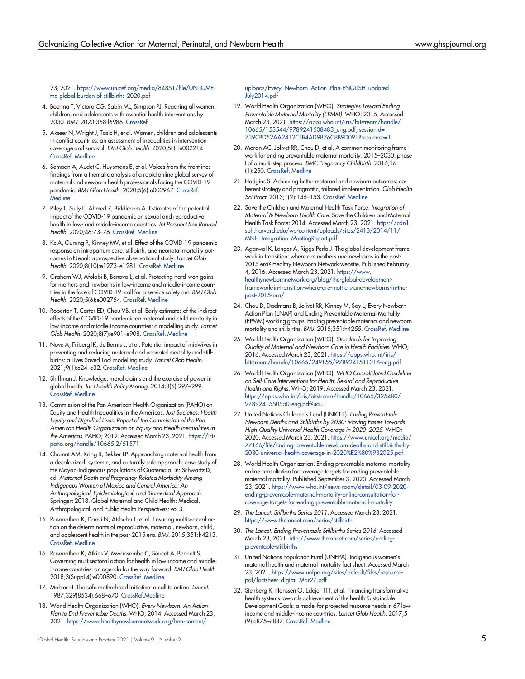23, 2021. [https://www.unicef.org/media/84851/file/UN-IGME](https://www.unicef.org/media/84851/file/UN-IGME-the-global-burden-of-stillbirths-2020.pdf)[the-global-burden-of-stillbirths-2020.pdf](https://www.unicef.org/media/84851/file/UN-IGME-the-global-burden-of-stillbirths-2020.pdf)

- <span id="page-4-0"></span>4. Boerma T, Victora CG, Sabin ML, Simpson PJ. Reaching all women, children, and adolescents with essential health interventions by 2030. BMJ. 2020;368:l6986. [CrossRef](https://doi.org/10.1136/bmj.l6986)
- <span id="page-4-1"></span>5. Akseer N, Wright J, Tasic H, et al. Women, children and adolescents in conflict countries: an assessment of inequalities in intervention coverage and survival. BMJ Glob Health. 2020;5(1):e002214. [CrossRef.](https://doi.org/10.1136/bmjgh-2019-002214) [Medline](http://www.ncbi.nlm.nih.gov/pubmed/32133179)
- <span id="page-4-2"></span>6. Semaan A, Audet C, Huysmans E, et al. Voices from the frontline: findings from a thematic analysis of a rapid online global survey of maternal and newborn health professionals facing the COVID-19 pandemic. BMJ Glob Health. 2020;5(6):e002967. [CrossRef.](https://doi.org/10.1136/bmjgh-2020-002967) **[Medline](http://www.ncbi.nlm.nih.gov/pubmed/32586891)**
- <span id="page-4-3"></span>7. Riley T, Sully E, Ahmed Z, Biddlecom A. Estimates of the potential impact of the COVID-19 pandemic on sexual and reproductive health in low- and middle-income countries. Int Perspect Sex Reprod Health. 2020;46:73–76. [CrossRef.](https://doi.org/10.1363/46e9020) [Medline](http://www.ncbi.nlm.nih.gov/pubmed/32343244)
- <span id="page-4-4"></span>8. Kc A, Gurung R, Kinney MV, et al. Effect of the COVID-19 pandemic response on intrapartum care, stillbirth, and neonatal mortality outcomes in Nepal: a prospective observational study. Lancet Glob Health. 2020;8(10):e1273–e1281. [CrossRef](https://doi.org/10.1016/S2214-109X(20)30345-4). [Medline](http://www.ncbi.nlm.nih.gov/pubmed/32791117)
- 9. Graham WJ, Afolabi B, Benova L, et al. Protecting hard-won gains for mothers and newborns in low-income and middle-income countries in the face of COVID-19: call for a service safety net. BMJ Glob Health. 2020;5(6):e002754. [CrossRef.](https://doi.org/10.1136/bmjgh-2020-002754) [Medline](http://www.ncbi.nlm.nih.gov/pubmed/32499220)
- <span id="page-4-5"></span>10. Roberton T, Carter ED, Chou VB, et al. Early estimates of the indirect effects of the COVID-19 pandemic on maternal and child mortality in low-income and middle-income countries: a modelling study. Lancet Glob Health. 2020;8(7):e901–e908. [CrossRef.](https://doi.org/10.1016/S2214-109X(20)30229-1) [Medline](http://www.ncbi.nlm.nih.gov/pubmed/32405459)
- <span id="page-4-6"></span>11. Nove A, Friberg IK, de Bernis L, et al. Potential impact of midwives in preventing and reducing maternal and neonatal mortality and still-.<br>births: a Lives Saved Tool modelling study. *Lancet Glob Health.* 2021;9(1):e24–e32. [CrossRef](https://doi.org/10.1016/S2214-109X(20)30397-1). [Medline](http://www.ncbi.nlm.nih.gov/pubmed/33275948)
- <span id="page-4-7"></span>12. Shiffman J. Knowledge, moral claims and the exercise of power in global health. Int J Health Policy Manag. 2014;3(6):297–299. [CrossRef.](https://doi.org/10.15171/ijhpm.2014.120) [Medline](http://www.ncbi.nlm.nih.gov/pubmed/25396204)
- <span id="page-4-8"></span>13. Commission of the Pan American Health Organization (PAHO) on Equity and Health Inequalities in the Americas. Just Societies: Health Equity and Dignified Lives. Report of the Commission of the Pan American Health Organization on Equity and Health Inequalities in the Americas. PAHO; 2019. Accessed March 23, 2021. [https://iris.](https://iris.paho.org/handle/10665.2/51571) [paho.org/handle/10665.2/51571](https://iris.paho.org/handle/10665.2/51571)
- <span id="page-4-9"></span>14. Chomat AM, Kring B, Bekker LP. Approaching maternal health from a decolonized, systemic, and culturally safe approach: case study of the Mayan-Indigenous populations of Guatemala. In: Schwartz D, ed. Maternal Death and Pregnancy-Related Morbidity Among Indigenous Women of Mexico and Central America: An Anthropological, Epidemiological, and Biomedical Approach. Springer; 2018. Global Maternal and Child Health: Medical, Anthropological, and Public Health Perspectives; vol 3.
- <span id="page-4-10"></span>15. Rasanathan K, Damji N, Atsbeha T, et al. Ensuring multisectoral action on the determinants of reproductive, maternal, newborn, child, and adolescent health in the post-2015 era. BMJ. 2015;351:h4213. [CrossRef.](https://doi.org/10.1136/bmj.h4213) [Medline](http://www.ncbi.nlm.nih.gov/pubmed/26371220)
- <span id="page-4-11"></span>16. Rasanathan K, Atkins V, Mwansambo C, Soucat A, Bennett S. Governing multisectoral action for health in low-income and middleincome countries: an agenda for the way forward. BMJ Glob Health. 2018;3(Suppl 4):e000890. [CrossRef.](https://doi.org/10.1136/bmjgh-2018-000890) [Medline](http://www.ncbi.nlm.nih.gov/pubmed/30364321)
- <span id="page-4-12"></span>17. Mahler H. The safe motherhood initiative: a call to action. Lancet. 1987;329(8534):668–670. [CrossRef](https://doi.org/10.1016/S0140-6736(87)90423-5)[.Medline](http://www.ncbi.nlm.nih.gov/pubmed/2882090)
- <span id="page-4-13"></span>18. World Health Organization (WHO). Every Newborn: An Action Plan to End Preventable Deaths. WHO; 2014. Accessed March 23, 2021. [https://www.healthynewbornnetwork.org/hnn-content/](https://www.healthynewbornnetwork.org/hnn-content/uploads/Every_Newborn_Action_Plan-ENGLISH_updated_July2014.pdf)

[uploads/Every\\_Newborn\\_Action\\_Plan-ENGLISH\\_updated\\_](https://www.healthynewbornnetwork.org/hnn-content/uploads/Every_Newborn_Action_Plan-ENGLISH_updated_July2014.pdf) [July2014.pdf](https://www.healthynewbornnetwork.org/hnn-content/uploads/Every_Newborn_Action_Plan-ENGLISH_updated_July2014.pdf)

- <span id="page-4-14"></span>19. World Health Organization (WHO). Strategies Toward Ending Preventable Maternal Mortality (EPMM). WHO; 2015. Accessed March 23, 2021. [https://apps.who.int/iris/bitstream/handle/](https://apps.who.int/iris/bitstream/handle/10665/153544/9789241508483_eng.pdf;jsessionid=739CBD52AA2412CFB4AD9876C8B9D091?sequence=1) [10665/153544/9789241508483\\_eng.pdf;jsessionid=](https://apps.who.int/iris/bitstream/handle/10665/153544/9789241508483_eng.pdf;jsessionid=739CBD52AA2412CFB4AD9876C8B9D091?sequence=1) [739CBD52AA2412CFB4AD9876C8B9D091?sequence=1](https://apps.who.int/iris/bitstream/handle/10665/153544/9789241508483_eng.pdf;jsessionid=739CBD52AA2412CFB4AD9876C8B9D091?sequence=1)
- <span id="page-4-15"></span>20. Moran AC, Jolivet RR, Chou D, et al. A common monitoring framework for ending preventable maternal mortality, 2015–2030: phase I of a multi-step process. BMC Pregnancy Childbirth. 2016;16 (1):250. [CrossRef](https://doi.org/10.1186/s12884-016-1035-4). [Medline](http://www.ncbi.nlm.nih.gov/pubmed/27565428)
- <span id="page-4-16"></span>21. Hodgins S. Achieving better maternal and newborn outcomes: coherent strategy and pragmatic, tailored implementation. Glob Health Sci Pract. 2013;1(2):146–153. [CrossRef.](https://doi.org/10.9745/GHSP-D-13-00030) [Medline](http://www.ncbi.nlm.nih.gov/pubmed/25276527)
- <span id="page-4-17"></span>22. Save the Children and Maternal Health Task Force. Integration of Maternal & Newborn Health Care. Save the Children and Maternal Health Task Force; 2014. Accessed March 23, 2021. [https://cdn1.](https://cdn1.sph.harvard.edu/wp-content/uploads/sites/2413/2014/11/MNH_Integration_MeetingReport.pdf) [sph.harvard.edu/wp-content/uploads/sites/2413/2014/11/](https://cdn1.sph.harvard.edu/wp-content/uploads/sites/2413/2014/11/MNH_Integration_MeetingReport.pdf) [MNH\\_Integration\\_MeetingReport.pdf](https://cdn1.sph.harvard.edu/wp-content/uploads/sites/2413/2014/11/MNH_Integration_MeetingReport.pdf)
- <span id="page-4-18"></span>23. Agarwal K, Langer A, Riggs-Perla J. The global development framework in transition: where are mothers and newborns in the post-2015 era? Healthy Newborn Network website. Published February 4, 2016. Accessed March 23, 2021. [https://www.](https://www.healthynewbornnetwork.org/blog/the-global-development-framework-in-transition-where-are-mothers-and-newborns-in-the-post-2015-era/) [healthynewbornnetwork.org/blog/the-global-development](https://www.healthynewbornnetwork.org/blog/the-global-development-framework-in-transition-where-are-mothers-and-newborns-in-the-post-2015-era/)[framework-in-transition-where-are-mothers-and-newborns-in-the](https://www.healthynewbornnetwork.org/blog/the-global-development-framework-in-transition-where-are-mothers-and-newborns-in-the-post-2015-era/)[post-2015-era/](https://www.healthynewbornnetwork.org/blog/the-global-development-framework-in-transition-where-are-mothers-and-newborns-in-the-post-2015-era/)
- <span id="page-4-19"></span>24. Chou D, Daelmans B, Jolivet RR, Kinney M, Say L; Every Newborn Action Plan (ENAP) and Ending Preventable Maternal Mortality (EPMM) working groups. Ending preventable maternal and newborn mortality and stillbirths. BMJ. 2015;351:h4255. [CrossRef.](https://doi.org/10.1136/bmj.h4255) [Medline](http://www.ncbi.nlm.nih.gov/pubmed/26371222)
- <span id="page-4-20"></span>25. World Health Organization (WHO). Standards for Improving Quality of Maternal and Newborn Care in Health Facilities. WHO; 2016. Accessed March 23, 2021. [https://apps.who.int/iris/](https://apps.who.int/iris/bitstream/handle/10665/249155/9789241511216-eng.pdf) [bitstream/handle/10665/249155/9789241511216-eng.pdf](https://apps.who.int/iris/bitstream/handle/10665/249155/9789241511216-eng.pdf)
- <span id="page-4-21"></span>26. World Health Organization (WHO). WHO Consolidated Guideline on Self-Care Interventions for Health: Sexual and Reproductive Health and Rights. WHO; 2019. Accessed March 23, 2021. [https://apps.who.int/iris/bitstream/handle/10665/325480/](https://apps.who.int/iris/bitstream/handle/10665/325480/9789241550550-eng.pdf?ua=1) [9789241550550-eng.pdf?ua=1](https://apps.who.int/iris/bitstream/handle/10665/325480/9789241550550-eng.pdf?ua=1)
- <span id="page-4-22"></span>27. United Nations Children's Fund (UNICEF). Ending Preventable Newborn Deaths and Stillbirths by 2030: Moving Faster Towards High-Quality Universal Health Coverage in 2020–2025. WHO; 2020. Accessed March 23, 2021. [https://www.unicef.org/media/](https://www.unicef.org/media/77166/file/Ending-preventable-newborn-deaths-and-stillbirths-by-2030-universal-health-coverage-in-2020%E2%80%932025.pdf) [77166/file/Ending-preventable-newborn-deaths-and-stillbirths-by-](https://www.unicef.org/media/77166/file/Ending-preventable-newborn-deaths-and-stillbirths-by-2030-universal-health-coverage-in-2020%E2%80%932025.pdf)[2030-universal-health-coverage-in-2020%E2%80%932025.pdf](https://www.unicef.org/media/77166/file/Ending-preventable-newborn-deaths-and-stillbirths-by-2030-universal-health-coverage-in-2020%E2%80%932025.pdf)
- <span id="page-4-23"></span>28. World Health Organization. Ending preventable maternal mortality online consultation for coverage targets for ending preventable maternal mortality. Published September 3, 2020. Accessed March 23, 2021. [https://www.who.int/news-room/detail/03-09-2020](https://www.who.int/news-room/detail/03-09-2020-ending-preventable-maternal-mortality-online-consultation-for-coverage-targets-for-ending-preventable-maternal-mortality) [ending-preventable-maternal-mortality-online-consultation-for](https://www.who.int/news-room/detail/03-09-2020-ending-preventable-maternal-mortality-online-consultation-for-coverage-targets-for-ending-preventable-maternal-mortality)[coverage-targets-for-ending-preventable-maternal-mortality](https://www.who.int/news-room/detail/03-09-2020-ending-preventable-maternal-mortality-online-consultation-for-coverage-targets-for-ending-preventable-maternal-mortality)
- <span id="page-4-24"></span>29. The Lancet: Stillbirths Series 2011. Accessed March 23, 2021. <https://www.thelancet.com/series/stillbirth>
- <span id="page-4-25"></span>30. The Lancet: Ending Preventable Stillbirths Series 2016. Accessed March 23, 2021. [http://www.thelancet.com/series/ending](http://www.thelancet.com/series/ending-preventable-stillbirths)[preventable-stillbirths](http://www.thelancet.com/series/ending-preventable-stillbirths)
- <span id="page-4-26"></span>31. United Nations Population Fund (UNFPA). Indigenous women's maternal health and maternal mortality fact sheet. Accessed March 23, 2021. [https://www.unfpa.org/sites/default/files/resource](https://www.unfpa.org/sites/default/files/resource-pdf/factsheet_digital_Mar27.pdf)[pdf/factsheet\\_digital\\_Mar27.pdf](https://www.unfpa.org/sites/default/files/resource-pdf/factsheet_digital_Mar27.pdf)
- <span id="page-4-27"></span>32. Stenberg K, Hanssen O, Edejer TTT, et al. Financing transformative health systems towards achievement of the health Sustainable Development Goals: a model for projected resource needs in 67 lowincome and middle-income countries. Lancet Glob Health. 2017;5 (9):e875–e887. [CrossRef.](https://doi.org/10.1016/S2214-109X(17)30263-2) [Medline](http://www.ncbi.nlm.nih.gov/pubmed/28728918)